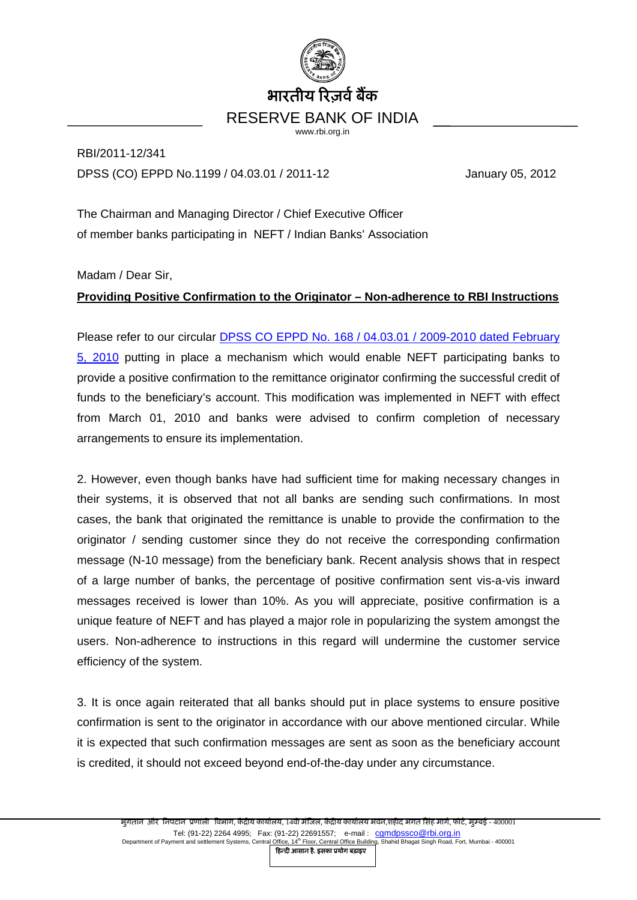

RBI/2011-12/341 DPSS (CO) EPPD No.1199 / 04.03.01 / 2011-12 January 05, 2012

The Chairman and Managing Director / Chief Executive Officer of member banks participating in NEFT / Indian Banks' Association

Madam / Dear Sir,

## **Providing Positive Confirmation to the Originator – Non-adherence to RBI Instructions**

Please refer to our circular [DPSS CO EPPD No. 168 / 04.03.01 / 2009-2010 dated February](http://rbi.org.in/scripts/NotificationUser.aspx?Id=5489&Mode=0)  [5, 2010](http://rbi.org.in/scripts/NotificationUser.aspx?Id=5489&Mode=0) putting in place a mechanism which would enable NEFT participating banks to provide a positive confirmation to the remittance originator confirming the successful credit of funds to the beneficiary's account. This modification was implemented in NEFT with effect from March 01, 2010 and banks were advised to confirm completion of necessary arrangements to ensure its implementation.

2. However, even though banks have had sufficient time for making necessary changes in their systems, it is observed that not all banks are sending such confirmations. In most cases, the bank that originated the remittance is unable to provide the confirmation to the originator / sending customer since they do not receive the corresponding confirmation message (N-10 message) from the beneficiary bank. Recent analysis shows that in respect of a large number of banks, the percentage of positive confirmation sent vis-a-vis inward messages received is lower than 10%. As you will appreciate, positive confirmation is a unique feature of NEFT and has played a major role in popularizing the system amongst the users. Non-adherence to instructions in this regard will undermine the customer service efficiency of the system.

3. It is once again reiterated that all banks should put in place systems to ensure positive confirmation is sent to the originator in accordance with our above mentioned circular. While it is expected that such confirmation messages are sent as soon as the beneficiary account is credited, it should not exceed beyond end-of-the-day under any circumstance.

िहन्दी आसान है, इसका ूयोग बढ़ाइए